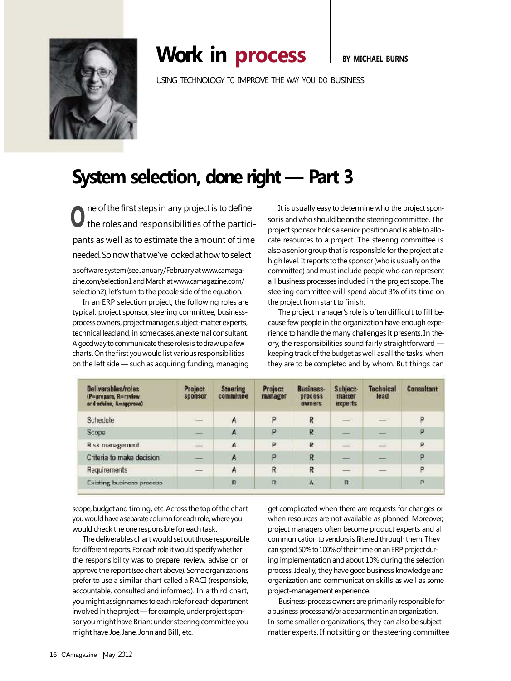

## **Work in process** I BY MICHAEL BURNS

USING TECHNOLOGY TO IMPROVE THE WAY YOU DO BUSINESS

## **System selection, done right — Part 3**

U<sub>the roles and responsibilities of the partici-</sub> ne of the first steps in any project is to define pants as well as to estimate the amount of time needed.Sonow thatwe've lookedathow toselect

a software system (see January/February at www.camagazine.com/selection1andMarchatwww.camagazine.com/ selection2), let's turn to the people side of the equation.

In an ERP selection project, the following roles are typical: project sponsor, steering committee, businessprocess owners, project manager, subject-matter experts, technical leadand,in somecases,anexternal consultant. A good way to communicate these roles is to draw up a few charts. On the first you would list various responsibilities on the left side — such as acquiring funding, managing

It is usually easy to determine who the project sponsor is and who should be on the steering committee. The project sponsor holds a senior position and is able to allocate resources to a project. The steering committee is also a senior group that is responsible for the project at a high level. It reports to the sponsor (who is usually on the committee) and must include people who can represent all business processes included in the project scope.The steering committee will spend about 3% of its time on the project from start to finish.

The project manager's role is often difficult to fill because few people in the organization have enough experience to handle the many challenges it presents. In theory, the responsibilities sound fairly straightforward keeping track of the budget as well as all the tasks, when they are to be completed and by whom. But things can

| Deliverables/roles<br>(P=prepare, R=review)<br>and advise, A=approve) | Project<br>sponsor       | <b>Steering</b><br>committee | Project<br>manager | <b>Business-</b><br>process<br>owners | Subject-<br>matter<br>experts | <b>Technical</b><br>lead | Consultant |
|-----------------------------------------------------------------------|--------------------------|------------------------------|--------------------|---------------------------------------|-------------------------------|--------------------------|------------|
| Schedule                                                              | $\overline{\phantom{a}}$ | A                            | P                  | R                                     | -                             | $\equiv$                 | P          |
| Scope                                                                 |                          | $\mathsf{A}$                 | P                  | R                                     | __                            | __                       | P          |
| Risk management                                                       | œ.                       | A                            | ₽                  | R                                     |                               |                          | P          |
| Criteria to make decision                                             | $\sim$                   | A                            | ö                  | R                                     | __                            | __                       | p          |
| Requirements                                                          | $\frac{1}{2}$            | A                            | R                  | R                                     | ---                           | __                       | P          |
| Existing business process                                             |                          | $\mathbf R$                  | R                  | $\mathbb A$                           | $\overline{\mathbf{n}}$       |                          | п          |

scope, budget and timing, etc. Across the top of the chart you would have a separate column for each role, where you would check the one responsible for each task.

The deliverables chart would set out those responsible for different reports. For each role it would specify whether the responsibility was to prepare, review, advise on or approve the report (see chart above). Some organizations prefer to use a similar chart called a RACI (responsible, accountable, consulted and informed). In a third chart, you might assign names to each role for each department involved in the project - for example, under project sponsor you might have Brian; under steering committee you might have Joe, Jane, John and Bill, etc.

get complicated when there are requests for changes or when resources are not available as planned. Moreover, project managers often become product experts and all communication to vendors is filtered through them. They can spend 50% to 100% of their time on an ERP project during implementation and about 10% during the selection process. Ideally, they have good business knowledge and organization and communication skills as well as some project-management experience.

Business-process owners are primarily responsible for a business process and/or a department in an organization. In some smaller organizations, they can also be subjectmatter experts. If not sitting on the steering committee